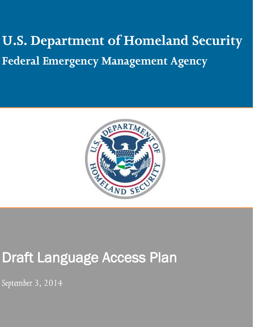# **U.S. Department of Homeland Security Federal Emergency Management Agency**



## Draft Language Access Plan

*September 3, 2014*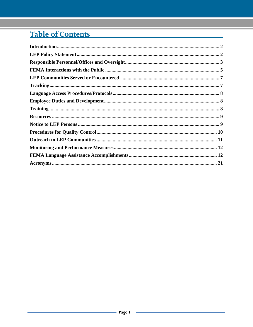### Table of Contents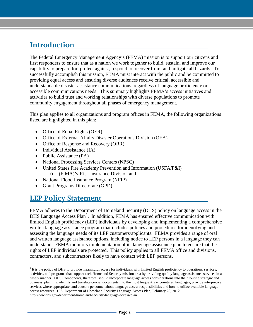### <span id="page-2-0"></span>**Introduction**

The Federal Emergency Management Agency's (FEMA) mission is to support our citizens and first responders to ensure that as a nation we work together to build, sustain, and improve our capability to prepare for, protect against, respond to, recover from, and mitigate all hazards. To successfully accomplish this mission, FEMA must interact with the public and be committed to providing equal access and ensuring diverse audiences receive critical, accessible and understandable disaster assistance communications, regardless of language proficiency or accessible communications needs. This summary highlights FEMA's access initiatives and activities to build trust and working relationships with diverse populations to promote community engagement throughout all phases of emergency management.

This plan applies to all organizations and program offices in FEMA, the following organizations listed are highlighted in this plan:

- Office of Equal Rights (OER)
- Office of External Affairs Disaster Operations Division (OEA)
- Office of Response and Recovery (ORR)
- Individual Assistance (IA)
- Public Assistance (PA)
- National Processing Services Centers (NPSC)
- United States Fire Academy Prevention and Information (USFA/P&I) o (FIMA)'s-Risk Insurance Division and
- National Flood Insurance Program (NFIP)
- Grant Programs Directorate (GPD)

### <span id="page-2-1"></span>**LEP Policy Statement**

 $\overline{a}$ 

FEMA adheres to the Department of Homeland Security (DHS) policy on language access in the DHS Language Access Plan<sup>[1](#page-2-2)</sup>. In addition, FEMA has ensured effective communication with limited English proficiency (LEP) individuals by developing and implementing a comprehensive written language assistance program that includes policies and procedures for identifying and assessing the language needs of its LEP customers/applicants. FEMA provides a range of oral and written language assistance options, including notice to LEP persons in a language they can understand. FEMA monitors implementation of its language assistance plan to ensure that the rights of LEP individuals are protected. This policy applies to all FEMA office and divisions, contractors, and subcontractors likely to have contact with LEP persons.

<span id="page-2-2"></span><sup>&</sup>lt;sup>1</sup> It is the policy of DHS to provide meaningful access for individuals with limited English proficiency to operations, services, activities, and programs that support each Homeland Security mission area by providing quality language assistance services in a timely manner. DHS Components, therefore, should incorporate language access considerations into their routine strategic and business planning, identify and translate crucial documents into the most frequently encountered languages, provide interpretive services where appropriate, and educate personnel about language access responsibilities and how to utilize available language access resources. U.S. Department of Homeland Security Language Access Plan, February 28, 2012, http:www.dhs.gov/department-homeland-security-language-access-plan.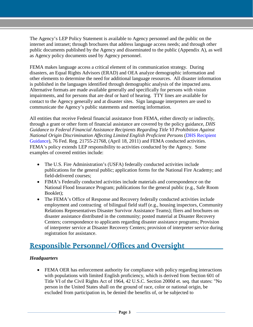The Agency's LEP Policy Statement is available to Agency personnel and the public on the internet and intranet; through brochures that address language access needs; and through other public documents published by the Agency and disseminated to the public (Appendix A), as well as Agency policy documents used by Agency personnel.

FEMA makes language access a critical element of its communication strategy. During disasters, an Equal Rights Advisors (ERAD) and OEA analyze demographic information and other elements to determine the need for additional language resources. All disaster information is published in the languages identified through demographic analysis of the impacted area. Alternative formats are made available generally and specifically for persons with vision impairments, and for persons that are deaf or hard of hearing. TTY lines are available for contact to the Agency generally and at disaster sites. Sign language interpreters are used to communicate the Agency's public statements and meeting information.

All entities that receive Federal financial assistance from FEMA, either directly or indirectly, through a grant or other form of financial assistance are covered by the policy guidance, *DHS Guidance to Federal Financial Assistance Recipients Regarding Title VI Prohibition Against National Origin Discrimination Affecting Limited English Proficient Persons* (DHS Recipient Guidance), 76 Fed. Reg. 21755-21768, (April 18, 2011) and FEMA conducted activities. FEMA's policy extends LEP responsibility to activities conducted by the Agency. Some examples of covered entities include:

- The U.S. Fire Administration's (USFA) federally conducted activities include publications for the general public; application forms for the National Fire Academy; and field-delivered courses;
- FIMA's Federally conducted activities include materials and correspondence on the National Flood Insurance Program; publications for the general public (e.g., Safe Room Booklet);
- The FEMA's Office of Response and Recovery federally conducted activities include employment and contracting of bilingual field staff (e.g., housing inspectors, Community Relations Representatives Disaster Survivor Assistance Teams); fliers and brochures on disaster assistance distributed in the community; posted material at Disaster Recovery Centers; correspondence to applicants regarding disaster assistance programs; Provision of interpreter service at Disaster Recovery Centers; provision of interpreter service during registration for assistance.

### <span id="page-3-0"></span>**Responsible Personnel/Offices and Oversight**

#### *Headquarters*

• FEMA OER has enforcement authority for compliance with policy regarding interactions with populations with limited English proficiency, which is derived from Section 601 of Title VI of the Civil Rights Act of 1964, 42 U.S.C. Section 2000d et. seq. that states: "No person in the United States shall on the ground of race, color or national origin, be excluded from participation in, be denied the benefits of, or be subjected to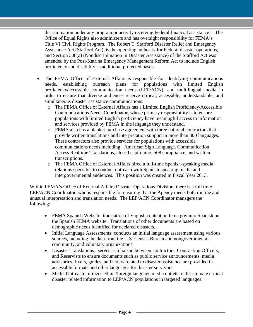discrimination under any program or activity receiving Federal financial assistance." The Office of Equal Rights also administers and has oversight responsibility for FEMA's Title VI Civil Rights Program. The Robert T. Stafford Disaster Relief and Emergency Assistance Act (Stafford Act), is the operating authority for Federal disaster operations, and Section 308(a) (Nondiscrimination in Disaster Assistance) of the Stafford Act was amended by the Post-Katrina Emergency Management Reform Act to include English proficiency and disability as additional protected bases.

- The FEMA Office of External Affairs is responsible for identifying communications needs, establishing outreach plans for populations with limited English proficiency/accessible communication needs (LEP/ACN), and multilingual media in order to ensure that diverse audiences receive critical, accessible, understandable, and simultaneous disaster assistance communications.
	- o The FEMA Office of External Affairs has a Limited English Proficiency/Accessible Communications Needs Coordinator, whose primary responsibility is to ensure populations with limited English proficiency have meaningful access to information and services provided by FEMA in the language they understand.
	- o FEMA also has a blanket purchase agreement with three national contractors that provide written translations and interpretation support in more than 300 languages. These contractors also provide services for populations with accessible communications needs including: American Sign Language. Communication Access Realtime Translations, closed captioning, 508 compliance, and written transcriptions.
	- o The FEMA Office of External Affairs hired a full-time Spanish-speaking media relations specialist to conduct outreach with Spanish-speaking media and intergovernmental audiences. This position was created in Fiscal Year 2013.

Within FEMA's Office of External Affairs Disaster Operations Division, there is a full time LEP/ACN Coordinator, who is responsible for ensuring that the Agency meets both routine and unusual interpretation and translation needs. The LEP/ACN Coordinator managers the following:

- FEMA Spanish Website: translation of English content on fema.gov into Spanish on the Spanish FEMA website. Translations of other documents are based on demographic needs identified for declared disasters.
- Initial Language Assessments: conducts an initial language assessment using various sources, including the data from the U.S. Census Bureau and nongovernmental, community, and voluntary organizations.
- Disaster Translations: serves as a liaison between contractors, Contracting Officers, and Reservists to ensure documents such as public service announcements, media advisories, flyers, guides, and letters related to disaster assistance are provided in accessible formats and other languages for disaster survivors.
- Media Outreach: utilizes ethnic/foreign language media outlets to disseminate critical disaster related information to LEP/ACN populations in targeted languages.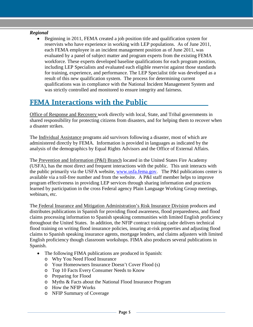#### *Regional*

• Beginning in 2011, FEMA created a job position title and qualification system for reservists who have experience in working with LEP populations. As of June 2011, each FEMA employee in an incident management position as of June 2011, was evaluated by a panel of subject matter and program experts from the existing FEMA workforce. These experts developed baseline qualifications for each program position, including LEP Specialists and evaluated each eligible reservist against those standards for training, experience, and performance. The LEP Specialist title was developed as a result of this new qualification system. The process for determining current qualifications was in compliance with the National Incident Management System and was strictly controlled and monitored to ensure integrity and fairness.

### <span id="page-5-0"></span>**FEMA Interactions with the Public**

Office of Response and Recovery work directly with local, State, and Tribal governments in shared responsibility for protecting citizens from disasters, and for helping them to recover when a disaster strikes.

The Individual Assistance programs aid survivors following a disaster, most of which are administered directly by FEMA. Information is provided in languages as indicated by the analysis of the demographics by Equal Rights Advisors and the Office of External Affairs.

The Prevention and Information (P&I) Branch located in the United States Fire Academy (USFA), has the most direct and frequent interactions with the public. This unit interacts with the public primarily via the USFA website, [www.usfa.fema.gov.](http://www.usfa.fema.gov/) The P&I publications center is available via a toll-free number and from the website. A P&I staff member helps to improve program effectiveness in providing LEP services through sharing information and practices learned by participation in the cross Federal agency Plain Language Working Group meetings, webinars, etc.

The Federal Insurance and Mitigation Administration's Risk Insurance Division produces and distributes publications in Spanish for providing flood awareness, flood preparedness, and flood claims processing information to Spanish speaking communities with limited English proficiency throughout the United States. In addition, the NFIP contract training cadre delivers technical flood training on writing flood insurance policies, insuring at-risk properties and adjusting flood claims to Spanish speaking insurance agents, mortgage lenders, and claims adjusters with limited English proficiency though classroom workshops. FIMA also produces several publications in Spanish.

- The following FIMA publications are produced in Spanish:
	- o Why You Need Flood Insurance
	- o Your Homeowners Insurance Doesn't Cover Flood (s)
	- o Top 10 Facts Every Consumer Needs to Know
	- o Preparing for Flood
	- o Myths & Facts about the National Flood Insurance Program
	- o How the NFIP Works
	- o NFIP Summary of Coverage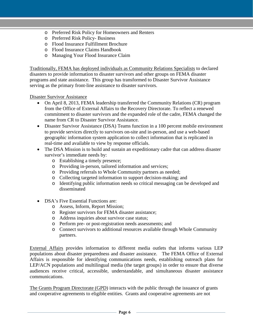- o Preferred Risk Policy for Homeowners and Renters
- o Preferred Risk Policy- Business
- o Flood Insurance Fulfillment Brochure
- o Flood Insurance Claims Handbook
- o Managing Your Flood Insurance Claim

Traditionally, FEMA has deployed individuals as Community Relations Specialists to declared disasters to provide information to disaster survivors and other groups on FEMA disaster programs and state assistance. This group has transformed to Disaster Survivor Assistance serving as the primary front-line assistance to disaster survivors.

Disaster Survivor Assistance

- On April 8, 2013, FEMA leadership transferred the Community Relations (CR) program from the Office of External Affairs to the Recovery Directorate. To reflect a renewed commitment to disaster survivors and the expanded role of the cadre, FEMA changed the name from CR to Disaster Survivor Assistance.
- Disaster Survivor Assistance (DSA) Teams function in a 100 percent mobile environment to provide services directly to survivors on-site and in-person, and use a web-based geographic information system application to collect information that is replicated in real-time and available to view by response officials.
- The DSA Mission is to build and sustain an expeditionary cadre that can address disaster survivor's immediate needs by:
	- o Establishing a timely presence;
	- o Providing in-person, tailored information and services;
	- o Providing referrals to Whole Community partners as needed;
	- o Collecting targeted information to support decision-making; and
	- o Identifying public information needs so critical messaging can be developed and disseminated
- DSA's Five Essential Functions are:
	- o Assess, Inform, Report Mission;
	- o Register survivors for FEMA disaster assistance;
	- o Address inquiries about survivor case status;
	- o Perform pre- or post-registration needs assessments; and
	- o Connect survivors to additional resources available through Whole Community partners.

External Affairs provides information to different media outlets that informs various LEP populations about disaster preparedness and disaster assistance. The FEMA Office of External Affairs is responsible for identifying communications needs, establishing outreach plans for LEP/ACN populations and multilingual media (the target groups) in order to ensure that diverse audiences receive critical, accessible, understandable, and simultaneous disaster assistance communications.

The Grants Program Directorate (GPD) interacts with the public through the issuance of grants and cooperative agreements to eligible entities. Grants and cooperative agreements are not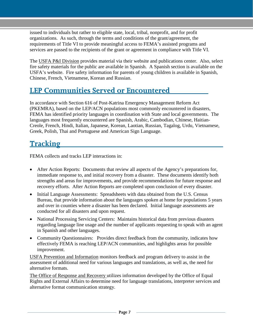issued to individuals but rather to eligible state, local, tribal, nonprofit, and for profit organizations. As such, through the terms and conditions of the grant/agreement, the requirements of Title VI to provide meaningful access to FEMA's assisted programs and services are passed to the recipients of the grant or agreement in compliance with Title VI.

The USFA P&I Division provides material via their website and publications center. Also, select fire safety materials for the public are available in Spanish. A Spanish section is available on the USFA's website. Fire safety information for parents of young children is available in Spanish, Chinese, French, Vietnamese, Korean and Russian.

### <span id="page-7-0"></span>**LEP Communities Served or Encountered**

In accordance with Section 616 of Post-Katrina Emergency Management Reform Act (PKEMRA), based on the LEP/ACN populations most commonly encountered in disasters, FEMA has identified priority languages in coordination with State and local governments. The languages most frequently encountered are Spanish, Arabic, Cambodian, Chinese, Haitian-Creole, French, Hindi, Italian, Japanese, Korean, Laotian, Russian, Tagalog, Urdu, Vietnamese, Greek, Polish, Thai and Portuguese and American Sign Language.

### <span id="page-7-1"></span>**Tracking**

FEMA collects and tracks LEP interactions in:

- After Action Reports: Documents that review all aspects of the Agency's preparations for, immediate response to, and initial recovery from a disaster. These documents identify both strengths and areas for improvements, and provide recommendations for future response and recovery efforts. After Action Reports are completed upon conclusion of every disaster.
- Initial Language Assessments: Spreadsheets with data obtained from the U.S. Census Bureau, that provide information about the languages spoken at home for populations 5 years and over in counties where a disaster has been declared. Initial language assessments are conducted for all disasters and upon request.
- National Processing Servicing Centers: Maintains historical data from previous disasters regarding language line usage and the number of applicants requesting to speak with an agent in Spanish and other languages.
- Community Questionnaires: Provides direct feedback from the community, indicates how effectively FEMA is reaching LEP/ACN communities, and highlights areas for possible improvement.

USFA Prevention and Information monitors feedback and program delivery to assist in the assessment of additional need for various languages and translations, as well as, the need for alternative formats.

The Office of Response and Recovery utilizes information developed by the Office of Equal Rights and External Affairs to determine need for language translations, interpreter services and alternative format communication strategy.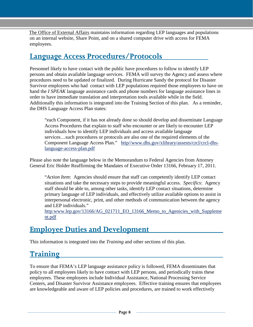The Office of External Affairs maintains information regarding LEP languages and populations on an internal website, Share Point, and on a shared computer drive with access for FEMA employees.

### <span id="page-8-0"></span>**Language Access Procedures/Protocols**

Personnel likely to have contact with the public have procedures to follow to identify LEP persons and obtain available language services. FEMA will survey the Agency and assess where procedures need to be updated or finalized. During Hurricane Sandy the protocol for Disaster Survivor employees who had contact with LEP populations required those employees to have on hand the *I SPEAK* language assistance cards and phone numbers for language assistance lines in order to have immediate translation and interpretation tools available while in the field. Additionally this information is integrated into the Training Section of this plan. As a reminder, the DHS Language Access Plan states:

"each Component, if it has not already done so should develop and disseminate Language Access Procedures that explain to staff who encounter or are likely to encounter LEP individuals how to identify LEP individuals and access available language services…such procedures or protocols are also one of the required elements of the Component Language Access Plan." http//www.dhs.gov/xlibrary/assests/crcl/crcl-dhslanguage-access-plan.pdf

Please also note the language below in the Memorandum to Federal Agencies from Attorney General Eric Holder Reaffirming the Mandates of Executive Order 13166, February 17, 2011.

"*Action Item*: Agencies should ensure that staff can competently identify LEP contact situations and take the necessary steps to provide meaningful access. *Specifics*: Agency staff should be able to, among other tasks, identify LEP contact situations, determine primary language of LEP individuals, and effectively utilize available options to assist in interpersonal electronic, print, and other methods of communication between the agency and LEP individuals."

http:www.lep.gov/13166/AG\_021711\_EO\_13166\_Memo\_to\_Agenicies\_with\_Suppleme nt.pdf

### <span id="page-8-1"></span>**Employee Duties and Development**

<span id="page-8-2"></span>This information is integrated into the *Training* and other sections of this plan.

### **Training**

To ensure that FEMA's LEP language assistance policy is followed, FEMA disseminates that policy to all employees likely to have contact with LEP persons, and periodically trains these employees. These employees include Individual Assistance, National Processing Service Centers, and Disaster Survivor Assistance employees. Effective training ensures that employees are knowledgeable and aware of LEP policies and procedures, are trained to work effectively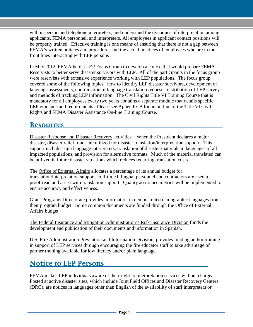with in-person and telephone interpreters, and understand the dynamics of interpretation among applicants, FEMA personnel, and interpreters. All employees in applicant contact positions will be properly trained. Effective training is one means of ensuring that there is not a gap between FEMA's written policies and procedures and the actual practices of employees who are in the front lines interacting with LEP persons

In May 2012, FEMA held a LEP Focus Group to develop a course that would prepare FEMA Reservists to better serve disaster survivors with LEP. All of the participants in the focus group were reservists with extensive experience working with LEP populations. The focus group covered some of the following topics: how to identify LEP disaster survivors, development of language assessments, coordination of language translation requests, distribution of LEP surveys and methods of tracking LEP information. The Civil Rights Title VI Training Course that is mandatory for all employees every two years contains a separate module that details specific LEP guidance and requirements. Please see Appendix B for an outline of the Title VI Civil Rights and FEMA Disaster Assistance On-line Training Course.

#### <span id="page-9-0"></span>**Resources**

Disaster Response and Disaster Recovery activities: When the President declares a major disaster, disaster relief funds are utilized for disaster translation/interpretation support. This support includes sign language interpreters, translation of disaster materials in languages of all impacted populations, and provision for alternative formats. Much of the material translated can be utilized in future disaster situations which reduces recurring translation costs.

The Office of External Affairs allocates a percentage of its annual budget for translation/interpretation support. Full-time bilingual personnel and contractors are used to proof-read and assist with translation support. Quality assurance metrics will be implemented to ensure accuracy and effectiveness.

Grant Programs Directorate provides information in demonstrated demographic languages from their program budget. Some common documents are funded through the Office of External Affairs budget.

The Federal Insurance and Mitigation Administration's Risk Insurance Division funds the development and publication of their documents and information in Spanish.

U.S. Fire Administration Prevention and Information Division provides funding and/or training in support of LEP services through encouraging the fire educator staff to take advantage of partner training available for low literacy and/or plain language.

### <span id="page-9-1"></span>**Notice to LEP Persons**

FEMA makes LEP individuals aware of their right to interpretation services without charge*.*  Posted at active disaster sites, which include Joint Field Offices and Disaster Recovery Centers (DRC), are notices in languages other than English of the availability of staff interpreters or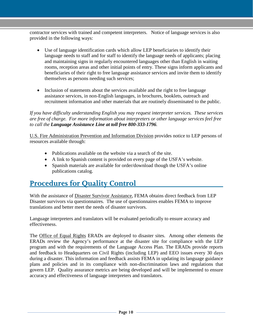contractor services with trained and competent interpreters. Notice of language services is also provided in the following ways:

- Use of language identification cards which allow LEP beneficiaries to identify their language needs to staff and for staff to identify the language needs of applicants; placing and maintaining signs in regularly encountered languages other than English in waiting rooms, reception areas and other initial points of entry. These signs inform applicants and beneficiaries of their right to free language assistance services and invite them to identify themselves as persons needing such services;
- Inclusion of statements about the services available and the right to free language assistance services, in non-English languages, in brochures, booklets, outreach and recruitment information and other materials that are routinely disseminated to the public.

*If you have difficulty understanding English you may request interpreter services. These services are free of charge. For more information about interpreters or other language services feel free to call the Language Assistance Line at toll free 800-333-1796.* 

U.S. Fire Administration Prevention and Information Division provides notice to LEP persons of resources available through:

- Publications available on the website via a search of the site.
- A link to Spanish content is provided on every page of the USFA's website.
- Spanish materials are available for order/download though the USFA's online publications catalog.

### <span id="page-10-0"></span>**Procedures for Quality Control**

With the assistance of Disaster Survivor Assistance, FEMA obtains direct feedback from LEP Disaster survivors via questionnaires. The use of questionnaires enables FEMA to improve translations and better meet the needs of disaster survivors.

Language interpreters and translators will be evaluated periodically to ensure accuracy and effectiveness.

The Office of Equal Rights ERADs are deployed to disaster sites. Among other elements the ERADs review the Agency's performance at the disaster site for compliance with the LEP program and with the requirements of the Language Access Plan. The ERADs provide reports and feedback to Headquarters on Civil Rights (including LEP) and EEO issues every 30 days during a disaster. This information and feedback assists FEMA in updating its language guidance plans and policies and in its compliance with non-discrimination laws and regulations that govern LEP. Quality assurance metrics are being developed and will be implemented to ensure accuracy and effectiveness of language interpreters and translators.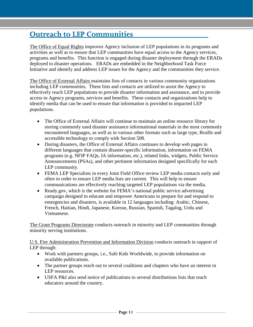### <span id="page-11-0"></span>**Outreach to LEP Communities**

The Office of Equal Rights improves Agency inclusion of LEP populations in its programs and activities as well as to ensure that LEP communities have equal access to the Agency services, programs and benefits. This function is engaged during disaster deployment through the ERADs deployed to disaster operations. ERADs are embedded in the Neighborhood Task Force Initiative and identify and address LEP issues for the Agency and the communities they service.

The Office of External Affairs maintains lists of contacts in various community organizations including LEP communities. These lists and contacts are utilized to assist the Agency to effectively reach LEP populations to provide disaster information and assistance, and to provide access to Agency programs, services and benefits. These contacts and organizations help to identify media that can be used to ensure that information is provided to impacted LEP populations.

- The Office of External Affairs will continue to maintain an online resource library for storing commonly used disaster assistance informational materials in the most commonly encountered languages, as well as in various other formats such as large type, Braille and accessible technology to comply with Section 508.
- During disasters, the Office of External Affairs continues to develop web pages in different languages that contain disaster-specific information, information on FEMA programs (e.g. NFIP FAQs, IA information, etc.), related links, widgets, Public Service Announcements (PSAs), and other pertinent information designed specifically for each LEP community.
- FEMA LEP Specialists in every Joint Field Office review LEP media contacts early and often in order to ensure LEP media lists are current. This will help to ensure communications are effectively reaching targeted LEP populations via the media.
- Ready.gov, which is the website for FEMA's national public service advertising campaign designed to educate and empower Americans to prepare for and respond to emergencies and disasters, is available in 12 languages including: Arabic, Chinese, French, Haitian, Hindi, Japanese, Korean, Russian, Spanish, Tagalog, Urdu and Vietnamese.

The Grant Programs Directorate conducts outreach in minority and LEP communities through minority serving institutions.

U.S. Fire Administration Prevention and Information Division conducts outreach in support of LEP through:

- Work with partners groups, i.e., Safe Kids Worldwide, to provide information on available publications.
- The partner groups reach out to several coalitions and chapters who have an interest in LEP resources.
- USFA P&I also send notice of publications to several distributions lists that reach educators around the country.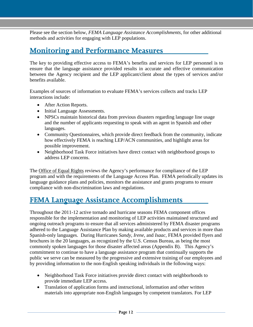Please see the section below, *FEMA Language Assistance Accomplishments*, for other additional methods and activities for engaging with LEP populations.

### <span id="page-12-0"></span>**Monitoring and Performance Measures**

The key to providing effective access to FEMA's benefits and services for LEP personnel is to ensure that the language assistance provided results in accurate and effective communication between the Agency recipient and the LEP applicant/client about the types of services and/or benefits available.

Examples of sources of information to evaluate FEMA's services collects and tracks LEP interactions include:

- After Action Reports.
- Initial Language Assessments.
- NPSCs maintain historical data from previous disasters regarding language line usage and the number of applicants requesting to speak with an agent in Spanish and other languages.
- Community Questionnaires, which provide direct feedback from the community, indicate how effectively FEMA is reaching LEP/ACN communities, and highlight areas for possible improvement.
- Neighborhood Task Force initiatives have direct contact with neighborhood groups to address LEP concerns.

The Office of Equal Rights reviews the Agency's performance for compliance of the LEP program and with the requirements of the Language Access Plan. FEMA periodically updates its language guidance plans and policies, monitors the assistance and grants programs to ensure compliance with non-discrimination laws and regulations.

### <span id="page-12-1"></span>**FEMA Language Assistance Accomplishments**

Throughout the 2011-12 active tornado and hurricane seasons FEMA component offices responsible for the implementation and monitoring of LEP activities maintained structured and ongoing outreach programs to ensure that all services administered by FEMA disaster programs adhered to the Language Assistance Plan by making available products and services in more than Spanish-only languages. During Hurricanes *Sandy, Irene*, and *Isaac*, FEMA provided flyers and brochures in the 20 languages, as recognized by the U.S. Census Bureau, as being the most commonly spoken languages for those disaster affected areas (Appendix B). This Agency's commitment to continue to have a language assistance program that continually supports the public we serve can be measured by the progressive and extensive training of our employees and by providing information to the non-English speaking individuals in the following ways:

- Neighborhood Task Force initiatives provide direct contact with neighborhoods to provide immediate LEP access.
- Translation of application forms and instructional, information and other written materials into appropriate non-English languages by competent translators. For LEP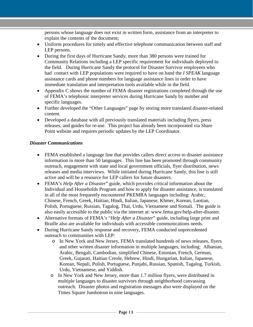persons whose language does not exist in written form, assistance from an interpreter to explain the contents of the document;

- Uniform procedures for timely and effective telephone communication between staff and LEP persons.
- During the first days of Hurricane Sandy, more than 380 persons were trained for Community Relations including a LEP specific requirement for individuals deployed to the field. During Hurricane Sandy the protocol for Disaster Survivor employees who had contact with LEP populations were required to have on hand the *I SPEAK* language assistance cards and phone numbers for language assistance lines in order to have immediate translation and interpretation tools available while in the field.
- Appendix C shows the number of FEMA disaster registrations completed through the use of FEMA's telephonic interpreter services during Hurricane Sandy by number and specific languages.
- Further developed the "Other Languages" page by storing more translated disaster-related content.
- Developed a database with all previously translated materials including flyers, press releases, and guides for re-use. This project has already been incorporated via Share Point website and requires periodic updates by the LEP Coordinator.

#### *Disaster Communications*

- FEMA established a language line that provides callers direct access to disaster assistance information in more than 50 languages. This line has been promoted through community outreach, engagement with state and local government officials, flyer distribution, news releases and media interviews. While initiated during Hurricane Sandy, this line is still active and will be a resource for LEP callers for future disasters.
- FEMA's *Help After a Disaster*" guide, which provides critical information about the Individual and Households Program and how to apply for disaster assistance, is translated in all of the most frequently encountered PKEMRA languages including: Arabic, Chinese, French, Greek, Haitian, Hindi, Italian, Japanese, Khmer, Korean, Laotian, Polish, Portuguese, Russian, Tagalog, Thai, Urdu, Vietnamese and Somali. The guide is also easily accessible to the public via the internet at: [www.fema.gov/help-after-disaster.](http://www.fema.gov/help-after-disaster)
- Alternative formats of FEMA's "*Help After a Disaster*" guide, including large print and Braille also are available for individuals with accessible communications needs.
- During Hurricane Sandy response and recovery, FEMA conducted unprecedented outreach to communities with LEP:
	- o In New York and New Jersey, FEMA translated hundreds of news releases, flyers and other written disaster information in multiple languages, including: Albanian, Arabic, Bengali, Cambodian, simplified Chinese, Estonian, French, German, Greek, Gujarati, Haitian Creole, Hebrew, Hindi, Hungarian, Italian, Japanese, Korean, Nepali, Polish, Portuguese, Punjabi, Russian, Spanish, Tagalog, Turkish, Urdu, Vietnamese, and Yiddish.
	- o In New York and New Jersey, more than 1.7 million flyers, were distributed in multiple languages to disaster survivors through neighborhood canvassing outreach. Disaster photos and registration messages also were displayed on the Times Square Jumbotron in nine languages.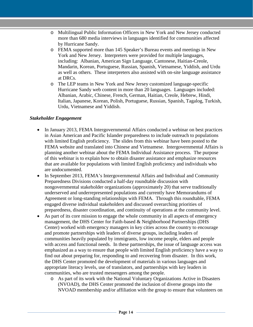- o Multilingual Public Information Officers in New York and New Jersey conducted more than 680 media interviews in languages identified for communities affected by Hurricane Sandy.
- o FEMA supported more than 145 Speaker's Bureau events and meetings in New York and New Jersey. Interpreters were provided for multiple languages, including: Albanian, American Sign Language, Cantonese, Haitian-Creole, Mandarin, Korean, Portuguese, Russian, Spanish, Vietnamese, Yiddish, and Urdu as well as others. These interpreters also assisted with on-site language assistance at DRCs.
- o The LEP teams in New York and New Jersey customized language-specific Hurricane Sandy web content in more than 20 languages. Languages included: Albanian, Arabic, Chinese, French, German, Haitian, Creole, Hebrew, Hindi, Italian, Japanese, Korean, Polish, Portuguese, Russian, Spanish, Tagalog, Turkish, Urdu, Vietnamese and Yiddish.

#### *Stakeholder Engagement*

- In January 2013, FEMA Intergovernmental Affairs conducted a webinar on best practices in Asian American and Pacific Islander preparedness to include outreach to populations with limited English proficiency. The slides from this webinar have been posted to the FEMA website and translated into Chinese and Vietnamese. Intergovernmental Affairs is planning another webinar about the FEMA Individual Assistance process. The purpose of this webinar is to explain how to obtain disaster assistance and emphasize resources that are available for populations with limited English proficiency and individuals who are undocumented.
- In September 2013, FEMA's Intergovernmental Affairs and Individual and Community Preparedness Divisions conducted a half-day roundtable discussion with nongovernmental stakeholder organizations (approximately 20) that serve traditionally underserved and underrepresented populations and currently have Memorandums of Agreement or long-standing relationships with FEMA. Through this roundtable, FEMA engaged diverse individual stakeholders and discussed overarching priorities of preparedness, disaster coordination, and continuity of operations at the community level.
- As part of its core mission to engage the whole community in all aspects of emergency management, the DHS Center for Faith-based & Neighborhood Partnerships (DHS Center) worked with emergency managers in key cities across the country to encourage and promote partnerships with leaders of diverse groups, including leaders of communities heavily populated by immigrants, low income people, elders and people with access and functional needs. In these partnerships, the issue of language access was emphasized as a way to ensure that people with limited English proficiency have a way to find out about preparing for, responding to and recovering from disaster. In this work, the DHS Center promoted the development of materials in various languages and appropriate literacy levels, use of translators, and partnerships with key leaders in communities, who are trusted messengers among the people.
	- o As part of its work with the National Voluntary Organizations Active in Disasters (NVOAD), the DHS Center promoted the inclusion of diverse groups into the NVOAD membership and/or affiliation with the group to ensure that volunteers on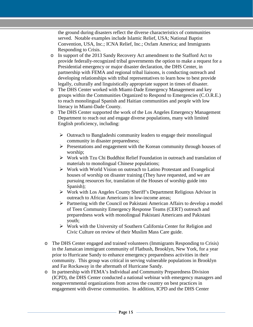the ground during disasters reflect the diverse characteristics of communities served. Notable examples include Islamic Relief, USA; National Baptist Convention, USA, Inc.; ICNA Relief, Inc.; Oxfam America; and Immigrants Responding to Crisis.

- o In support of the 2013 Sandy Recovery Act amendment to the Stafford Act to provide federally-recognized tribal governments the option to make a request for a Presidential emergency or major disaster declaration, the DHS Center, in partnership with FEMA and regional tribal liaisons, is conducting outreach and developing relationships with tribal representatives to learn how to best provide legally, culturally and linguistically appropriate support in times of disaster.
- o The DHS Center worked with Miami-Dade Emergency Management and key groups within the Communities Organized to Respond to Emergencies (C.O.R.E.) to reach monolingual Spanish and Haitian communities and people with low literacy in Miami-Dade County.
- o The DHS Center supported the work of the Los Angeles Emergency Management Department to reach out and engage diverse populations, many with limited English proficiency, including:
	- $\triangleright$  Outreach to Bangladeshi community leaders to engage their monolingual community in disaster preparedness;
	- $\triangleright$  Presentations and engagement with the Korean community through houses of worship;
	- $\triangleright$  Work with Tzu Chi Buddhist Relief Foundation in outreach and translation of materials to monolingual Chinese populations;
	- $\triangleright$  Work with World Vision on outreach to Latino Protestant and Evangelical houses of worship on disaster training (They have requested, and we are pursuing resources for, translation of the Houses of worship guide into Spanish);
	- Work with Los Angeles County Sheriff's Department Religious Advisor in outreach to African Americans in low-income areas;
	- $\triangleright$  Partnering with the Council on Pakistani American Affairs to develop a model of Teen Community Emergency Response Teams (CERT) outreach and preparedness work with monolingual Pakistani Americans and Pakistani youth;
	- $\triangleright$  Work with the University of Southern California Center for Religion and Civic Culture on review of their Muslim Mass Care guide.
- o The DHS Center engaged and trained volunteers (Immigrants Responding to Crisis) in the Jamaican immigrant community of Flatbush, Brooklyn, New York, for a year prior to Hurricane Sandy to enhance emergency preparedness activities in their community. This group was critical in serving vulnerable populations in Brooklyn and Far Rockaway in the aftermath of Hurricane Sandy.
- o In partnership with FEMA's Individual and Community Preparedness Division (ICPD), the DHS Center conducted a national webinar with emergency managers and nongovernmental organizations from across the country on best practices in engagement with diverse communities. In addition, ICPD and the DHS Center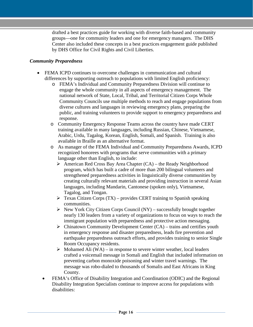drafted a best practices guide for working with diverse faith-based and community groups—one for community leaders and one for emergency managers. The DHS Center also included these concepts in a best practices engagement guide published by DHS Office for Civil Rights and Civil Liberties.

#### *Community Preparedness*

- FEMA ICPD continues to overcome challenges in communication and cultural differences by supporting outreach to populations with limited English proficiency:
	- o FEMA's Individual and Community Preparedness Division will continue to engage the whole community in all aspects of emergency management. The national network of State, Local, Tribal, and Territorial Citizen Corps Whole Community Councils use multiple methods to reach and engage populations from diverse cultures and languages in reviewing emergency plans, preparing the public, and training volunteers to provide support to emergency preparedness and response.
	- o Community Emergency Response Teams across the country have made CERT training available in many languages, including Russian, Chinese, Vietnamese, Arabic, Urdu, Tagalog, Korean, English, Somali, and Spanish. Training is also available in Braille as an alternative format.
	- o As manager of the FEMA Individual and Community Preparedness Awards, ICPD recognized honorees with programs that serve communities with a primary language other than English, to include:
		- $\triangleright$  American Red Cross Bay Area Chapter (CA) the Ready Neighborhood program, which has built a cadre of more than 200 bilingual volunteers and strengthened preparedness activities in linguistically diverse communities by creating culturally relevant materials and providing instruction in several Asian languages, including Mandarin, Cantonese (spoken only), Vietnamese, Tagalog, and Tongan.
		- $\triangleright$  Texas Citizen Corps (TX) provides CERT training to Spanish speaking communities.
		- $\triangleright$  New York City Citizen Corps Council (NY) successfully brought together nearly 130 leaders from a variety of organizations to focus on ways to reach the immigrant population with preparedness and protective action messaging.
		- $\triangleright$  Chinatown Community Development Center (CA) trains and certifies youth in emergency response and disaster preparedness, leads fire prevention and earthquake preparedness outreach efforts, and provides training to senior Single Room Occupancy residents.
		- $\triangleright$  Mohamed Ali (WA) in response to severe winter weather, local leaders crafted a voicemail message in Somali and English that included information on preventing carbon monoxide poisoning and winter travel warnings. The message was robo-dialed to thousands of Somalis and East Africans in King County.
	- FEMA's Office of Disability Integration and Coordination (ODIC) and the Regional Disability Integration Specialists continue to improve access for populations with disabilities: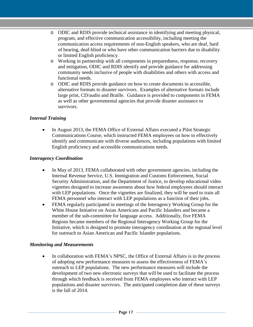- o ODIC and RDIS provide technical assistance in identifying and meeting physical, program, and effective communication accessibility, including meeting the communication access requirements of non-English speakers, who are deaf, hard of hearing, deaf-blind or who have other communication barriers due to disability or limited English proficiency.
- o Working in partnership with all components in preparedness, response, recovery and mitigation, ODIC and RDIS identify and provide guidance for addressing community needs inclusive of people with disabilities and others with access and functional needs.
- o ODIC and RDIS provide guidance on how to create documents in accessible, alternative formats to disaster survivors. Examples of alternative formats include large print, CD/audio and Braille. Guidance is provided to components in FEMA as well as other governmental agencies that provide disaster assistance to survivors.

#### *Internal Training*

• In August 2013, the FEMA Office of External Affairs executed a Pilot Strategic Communications Course, which instructed FEMA employees on how to effectively identify and communicate with diverse audiences, including populations with limited English proficiency and accessible communications needs.

#### *Interagency Coordination*

- In May of 2013, FEMA collaborated with other government agencies, including the Internal Revenue Service, U.S. Immigration and Customs Enforcement, Social Security Administration, and the Department of Justice, to develop educational video vignettes designed to increase awareness about how federal employees should interact with LEP populations. Once the vignettes are finalized, they will be used to train all FEMA personnel who interact with LEP populations as a function of their jobs.
- FEMA regularly participated in meetings of the Interagency Working Group for the White House Initiative on Asian Americans and Pacific Islanders and became a member of the sub-committee for language access. Additionally, five FEMA Regions became members of the Regional Interagency Working Group for the Initiative, which is designed to promote interagency coordination at the regional level for outreach to Asian American and Pacific Islander populations.

#### *Monitoring and Measurements*

In collaboration with FEMA's NPSC, the Office of External Affairs is in the process of adopting new performance measures to assess the effectiveness of FEMA's outreach to LEP populations. The new performance measures will include the development of two new electronic surveys that will be used to facilitate the process through which feedback is received from FEMA employees who interact with LEP populations and disaster survivors. The anticipated completion date of these surveys is the fall of 2014.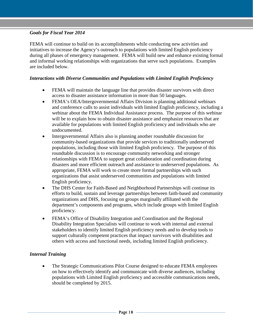#### *Goals for Fiscal Year 2014*

FEMA will continue to build on its accomplishments while conducting new activities and initiatives to increase the Agency's outreach to populations with limited English proficiency during all phases of emergency management. FEMA will build new and enhance existing formal and informal working relationships with organizations that serve such populations. Examples are included below.

#### *Interactions with Diverse Communities and Populations with Limited English Proficiency*

- FEMA will maintain the language line that provides disaster survivors with direct access to disaster assistance information in more than 50 languages.
- FEMA's OEA/Intergovernmental Affairs Division is planning additional webinars and conference calls to assist individuals with limited English proficiency, including a webinar about the FEMA Individual Assistance process. The purpose of this webinar will be to explain how to obtain disaster assistance and emphasize resources that are available for populations with limited English proficiency and individuals who are undocumented.
- Intergovernmental Affairs also is planning another roundtable discussion for community-based organizations that provide services to traditionally underserved populations, including those with limited English proficiency. The purpose of this roundtable discussion is to encourage community networking and stronger relationships with FEMA to support great collaboration and coordination during disasters and more efficient outreach and assistance to underserved populations. As appropriate, FEMA will work to create more formal partnerships with such organizations that assist underserved communities and populations with limited English proficiency.
- The DHS Center for Faith-Based and Neighborhood Partnerships will continue its efforts to build, sustain and leverage partnerships between faith-based and community organizations and DHS, focusing on groups marginally affiliated with the department's components and programs, which include groups with limited English proficiency.
- FEMA's Office of Disability Integration and Coordination and the Regional Disability Integration Specialists will continue to work with internal and external stakeholders to identify limited English proficiency needs and to develop tools to support culturally competent practices that impact survivors with disabilities and others with access and functional needs, including limited English proficiency.

#### *Internal Training*

• The Strategic Communications Pilot Course designed to educate FEMA employees on how to effectively identify and communicate with diverse audiences, including populations with Limited English proficiency and accessible communications needs, should be completed by 2015.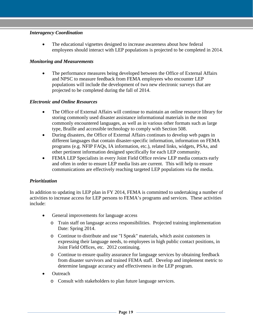#### *Interagency Coordination*

• The educational vignettes designed to increase awareness about how federal employees should interact with LEP populations is projected to be completed in 2014.

#### *Monitoring and Measurements*

• The performance measures being developed between the Office of External Affairs and NPSC to measure feedback from FEMA employees who encounter LEP populations will include the development of two new electronic surveys that are projected to be completed during the fall of 2014.

#### *Electronic and Online Resources*

- The Office of External Affairs will continue to maintain an online resource library for storing commonly used disaster assistance informational materials in the most commonly encountered languages, as well as in various other formats such as large type, Braille and accessible technology to comply with Section 508.
- During disasters, the Office of External Affairs continues to develop web pages in different languages that contain disaster-specific information, information on FEMA programs (e.g. NFIP FAQs, IA information, etc.), related links, widgets, PSAs, and other pertinent information designed specifically for each LEP community.
- FEMA LEP Specialists in every Joint Field Office review LEP media contacts early and often in order to ensure LEP media lists are current. This will help to ensure communications are effectively reaching targeted LEP populations via the media.

#### *Prioritization*

In addition to updating its LEP plan in FY 2014, FEMA is committed to undertaking a number of activities to increase access for LEP persons to FEMA's programs and services. These activities include:

- General improvements for language access
	- o Train staff on language access responsibilities. Projected training implementation Date: Spring 2014.
	- o Continue to distribute and use "I Speak" materials, which assist customers in expressing their language needs, to employees in high public contact positions, in Joint Field Offices, etc. 2012 continuing.
	- o Continue to ensure quality assurance for language services by obtaining feedback from disaster survivors and trained FEMA staff. Develop and implement metric to determine language accuracy and effectiveness in the LEP program.
- Outreach
	- o Consult with stakeholders to plan future language services.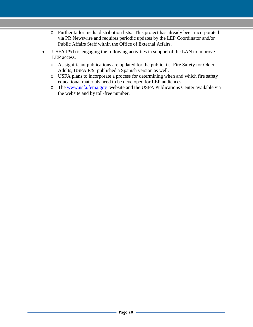- o Further tailor media distribution lists. This project has already been incorporated via PR Newswire and requires periodic updates by the LEP Coordinator and/or Public Affairs Staff within the Office of External Affairs.
- USFA P&I) is engaging the following activities in support of the LAN to improve LEP access.
	- o As significant publications are updated for the public, i.e. Fire Safety for Older Adults, USFA P&I published a Spanish version as well.
	- o USFA plans to incorporate a process for determining when and which fire safety educational materials need to be developed for LEP audiences.
	- o The [www.usfa.fema.gov](http://www.usfa.fema.gov/) website and the USFA Publications Center available via the website and by toll-free number.